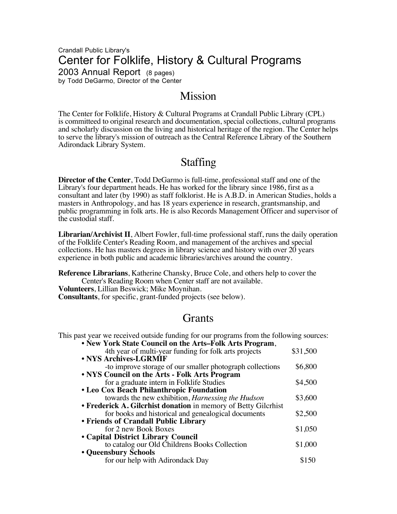### Crandall Public Library's Center for Folklife, History & Cultural Programs 2003 Annual Report (8 pages) by Todd DeGarmo, Director of the Center

# Mission

The Center for Folklife, History & Cultural Programs at Crandall Public Library (CPL) is committeed to original research and documentation, special collections, cultural programs and scholarly discussion on the living and historical heritage of the region. The Center helps to serve the library's mission of outreach as the Central Reference Library of the Southern Adirondack Library System.

# Staffing

**Director of the Center**, Todd DeGarmo is full-time, professional staff and one of the Library's four department heads. He has worked for the library since 1986, first as a consultant and later (by 1990) as staff folklorist. He is A.B.D. in American Studies, holds a masters in Anthropology, and has 18 years experience in research, grantsmanship, and public programming in folk arts. He is also Records Management Officer and supervisor of the custodial staff.

**Librarian/Archivist II**, Albert Fowler, full-time professional staff, runs the daily operation of the Folklife Center's Reading Room, and management of the archives and special collections. He has masters degrees in library science and history with over 20 years experience in both public and academic libraries/archives around the country.

**Reference Librarians**, Katherine Chansky, Bruce Cole, and others help to cover the Center's Reading Room when Center staff are not available. **Volunteers**, Lillian Beswick; Mike Moynihan. **Consultants**, for specific, grant-funded projects (see below).

# Grants

This past year we received outside funding for our programs from the following sources:

| • New York State Council on the Arts–Folk Arts Program,        |          |
|----------------------------------------------------------------|----------|
| 4th year of multi-year funding for folk arts projects          | \$31,500 |
| • NYS Archives-LGRMIF                                          |          |
| -to improve storage of our smaller photograph collections      | \$6,800  |
| • NYS Council on the Arts - Folk Arts Program                  |          |
| for a graduate intern in Folklife Studies                      | \$4,500  |
| • Leo Cox Beach Philanthropic Foundation                       |          |
| towards the new exhibition, Harnessing the Hudson              | \$3,600  |
| • Frederick A. Gilcrhist donation in memory of Betty Gilcrhist |          |
| for books and historical and genealogical documents            | \$2,500  |
| • Friends of Crandall Public Library                           |          |
| for 2 new Book Boxes                                           | \$1,050  |
| • Capital District Library Council                             |          |
| to catalog our Old Childrens Books Collection                  | \$1,000  |
| • Queensbury Schools                                           |          |
| for our help with Adirondack Day                               |          |
|                                                                |          |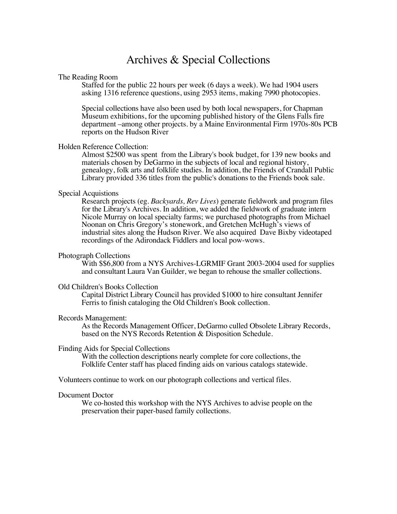## Archives & Special Collections

#### The Reading Room

Staffed for the public 22 hours per week (6 days a week). We had 1904 users asking 1316 reference questions, using 2953 items, making 7990 photocopies.

Special collections have also been used by both local newspapers, for Chapman Museum exhibitions, for the upcoming published history of the Glens Falls fire department –among other projects. by a Maine Environmental Firm 1970s-80s PCB reports on the Hudson River

#### Holden Reference Collection:

Almost \$2500 was spent from the Library's book budget, for 139 new books and materials chosen by DeGarmo in the subjects of local and regional history, genealogy, folk arts and folklife studies. In addition, the Friends of Crandall Public Library provided 336 titles from the public's donations to the Friends book sale.

#### Special Acquistions

Research projects (eg. *Backyards, Rev Lives*) generate fieldwork and program files for the Library's Archives. In addition, we added the fieldwork of graduate intern Nicole Murray on local specialty farms; we purchased photographs from Michael Noonan on Chris Gregory's stonework, and Gretchen McHugh's views of industrial sites along the Hudson River. We also acquired Dave Bixby videotaped recordings of the Adirondack Fiddlers and local pow-wows.

#### Photograph Collections

With \$\$6,800 from a NYS Archives-LGRMIF Grant 2003-2004 used for supplies and consultant Laura Van Guilder, we began to rehouse the smaller collections.

#### Old Children's Books Collection

Capital District Library Council has provided \$1000 to hire consultant Jennifer Ferris to finish cataloging the Old Children's Book collection.

#### Records Management:

As the Records Management Officer, DeGarmo culled Obsolete Library Records, based on the NYS Records Retention & Disposition Schedule.

Finding Aids for Special Collections<br>With the collection descriptions nearly complete for core collections, the Folklife Center staff has placed finding aids on various catalogs statewide.

Volunteers continue to work on our photograph collections and vertical files.

#### Document Doctor

We co-hosted this workshop with the NYS Archives to advise people on the preservation their paper-based family collections.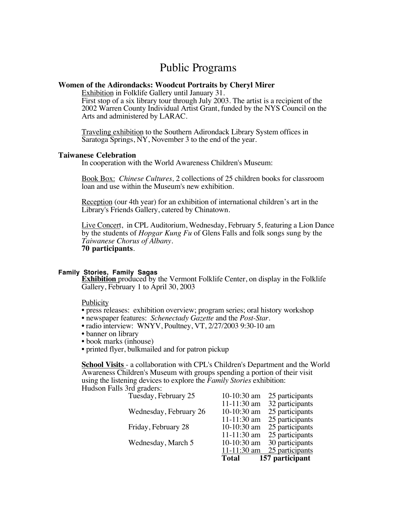## Public Programs

#### **Women of the Adirondacks: Woodcut Portraits by Cheryl Mirer**

Exhibition in Folklife Gallery until January 31.

First stop of a six library tour through July 2003. The artist is a recipient of the 2002 Warren County Individual Artist Grant, funded by the NYS Council on the Arts and administered by LARAC.

Traveling exhibition to the Southern Adirondack Library System offices in Saratoga Springs, NY, November 3 to the end of the year.

#### **Taiwanese Celebration**

In cooperation with the World Awareness Children's Museum:

Book Box: *Chinese Cultures,* 2 collections of 25 children books for classroom loan and use within the Museum's new exhibition.

Reception (our 4th year) for an exhibition of international children's art in the Library's Friends Gallery, catered by Chinatown.

Live Concert, in CPL Auditorium, Wednesday, February 5, featuring a Lion Dance by the students of *Hopgar Kung Fu* of Glens Falls and folk songs sung by the *Taiwanese Chorus of Albany*. **70 participants**.

#### **Family Stories, Family Sagas**

**Exhibition** produced by the Vermont Folklife Center, on display in the Folklife Gallery, February 1 to April 30, 2003

#### Publicity

- press releases: exhibition overview; program series; oral history workshop
- newspaper features: *Schenectady Gazette* and the *Post-Star.*
- radio interview: WNYV, Poultney, VT, 2/27/2003 9:30-10 am
- banner on library
- book marks (inhouse)
- printed flyer, bulkmailed and for patron pickup

**School Visits** - a collaboration with CPL's Children's Department and the World Awareness Children's Museum with groups spending a portion of their visit using the listening devices to explore the *Family Stories* exhibition: Hudson Falls 3rd graders:

|                        | Total           | 157 participant |
|------------------------|-----------------|-----------------|
|                        | $11-11:30$ am   | 25 participants |
| Wednesday, March 5     | $10-10:30$ am   | 30 participants |
|                        | $11 - 11:30$ am | 25 participants |
| Friday, February 28    | $10-10:30$ am   | 25 participants |
|                        | $11-11:30$ am   | 25 participants |
| Wednesday, February 26 | $10-10:30$ am   | 25 participants |
|                        | $11 - 11:30$ am | 32 participants |
| Tuesday, February 25   | $10-10:30$ am   | 25 participants |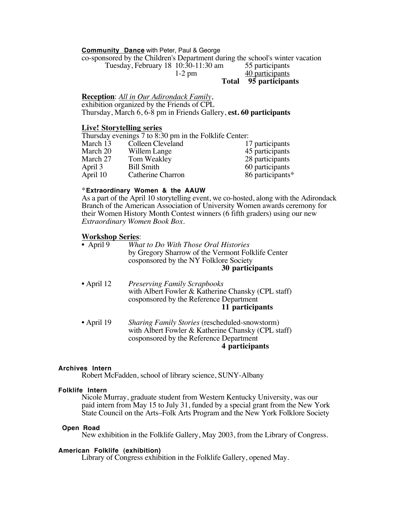#### **Community Dance** with Peter, Paul & George

co-sponsored by the Children's Department during the school's winter vacation

Tuesday, February 18 10:30-11:30 am 55 participants

1-2 pm 40 participants

**Total 95 participants**

#### **Reception**: *All in Our Adirondack Family*,

exhibition organized by the Friends of CPL Thursday, March 6, 6-8 pm in Friends Gallery, **est. 60 participants**

#### **Live! Storytelling series**

Thursday evenings 7 to 8:30 pm in the Folklife Center:<br>March 13 Colleen Cleveland 17 participants Colleen Cleveland

| March 20 | Willem Lange      | 45 participants  |
|----------|-------------------|------------------|
| March 27 | Tom Weakley       | 28 participants  |
| April 3  | <b>Bill Smith</b> | 60 participants  |
| April 10 | Catherine Charron | 86 participants* |

#### \***Extraordinary Women & the AAUW**

As a part of the April 10 storytelling event, we co-hosted, along with the Adirondack Branch of the American Association of University Women awards ceremony for their Women History Month Contest winners (6 fifth graders) using our new *Extraordinary Women Book Box.*

#### **Workshop Series**:

| • April 9 | What to Do With Those Oral Histories              |
|-----------|---------------------------------------------------|
|           | by Gregory Sharrow of the Vermont Folklife Center |
|           | cosponsored by the NY Folklore Society            |
|           | 30 participants                                   |

- April 12 *Preserving Family Scrapbooks* with Albert Fowler & Katherine Chansky (CPL staff) cosponsored by the Reference Department **11 participants**
- April 19 *Sharing Family Stories* (rescheduled-snowstorm) with Albert Fowler & Katherine Chansky (CPL staff) cosponsored by the Reference Department **4 participants**

#### **Archives Intern**

Robert McFadden, school of library science, SUNY-Albany

#### **Folklife Intern**

Nicole Murray, graduate student from Western Kentucky University, was our paid intern from May 15 to July 31, funded by a special grant from the New York State Council on the Arts–Folk Arts Program and the New York Folklore Society

#### **Open Road**

New exhibition in the Folklife Gallery, May 2003, from the Library of Congress.

#### **American Folklife (exhibition)**

Library of Congress exhibition in the Folklife Gallery, opened May.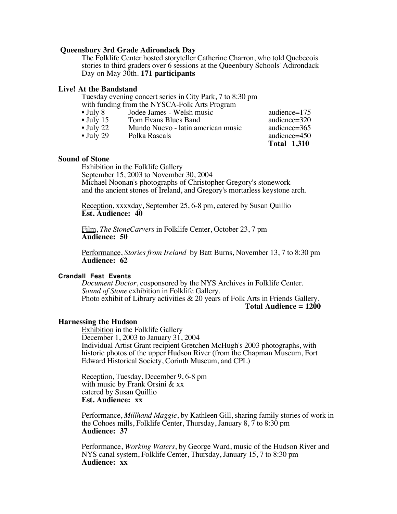#### **Queensbury 3rd Grade Adirondack Day**

The Folklife Center hosted storyteller Catherine Charron, who told Quebecois stories to third graders over 6 sessions at the Queenbury Schools' Adirondack Day on May 30th. **171 participants**

#### **Live! At the Bandstand**

Tuesday evening concert series in City Park, 7 to 8:30 pm

|                   | with funding from the NYSCA-Folk Arts Program |                    |
|-------------------|-----------------------------------------------|--------------------|
| $\bullet$ July 8  | Jodee James - Welsh music                     | audience=175       |
| $\bullet$ July 15 | Tom Evans Blues Band                          | audience=320       |
| $\bullet$ July 22 | Mundo Nuevo - latin american music            | audience=365       |
| $\bullet$ July 29 | Polka Rascals                                 | audience=450       |
|                   |                                               | <b>Total 1,310</b> |

#### **Sound of Stone**

Exhibition in the Folklife Gallery September 15, 2003 to November 30, 2004 Michael Noonan's photographs of Christopher Gregory's stonework and the ancient stones of Ireland, and Gregory's mortarless keystone arch.

Reception, xxxxday, September 25, 6-8 pm, catered by Susan Quillio **Est. Audience: 40**

Film, *The StoneCarvers* in Folklife Center, October 23, 7 pm **Audience: 50**

Performance, *Stories from Ireland* by Batt Burns, November 13, 7 to 8:30 pm **Audience: 62**

#### **Crandall Fest Events**

*Document Doctor*, cosponsored by the NYS Archives in Folklife Center. *Sound of Stone* exhibition in Folklife Gallery. Photo exhibit of Library activities & 20 years of Folk Arts in Friends Gallery. **Total Audience = 1200**

#### **Harnessing the Hudson**

Exhibition in the Folklife Gallery December 1, 2003 to January 31, 2004 Individual Artist Grant recipient Gretchen McHugh's 2003 photographs, with historic photos of the upper Hudson River (from the Chapman Museum, Fort Edward Historical Society, Corinth Museum, and CPL)

Reception, Tuesday, December 9, 6-8 pm with music by Frank Orsini & xx catered by Susan Quillio **Est. Audience: xx**

Performance, *Millhand Maggie*, by Kathleen Gill, sharing family stories of work in the Cohoes mills, Folklife Center, Thursday, January 8, 7 to 8:30 pm **Audience: 37**

Performance, *Working Waters*, by George Ward, music of the Hudson River and NYS canal system, Folklife Center, Thursday, January 15, 7 to 8:30 pm **Audience: xx**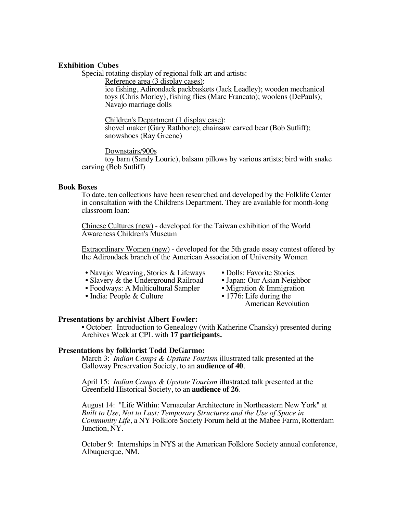#### **Exhibition Cubes**

Special rotating display of regional folk art and artists:

Reference area (3 display cases):

ice fishing, Adirondack packbaskets (Jack Leadley); wooden mechanical toys (Chris Morley), fishing flies (Marc Francato); woolens (DePauls); Navajo marriage dolls

Children's Department (1 display case): shovel maker (Gary Rathbone); chainsaw carved bear (Bob Sutliff); snowshoes (Ray Greene)

Downstairs/900s toy barn (Sandy Lourie), balsam pillows by various artists; bird with snake carving (Bob Sutliff)

#### **Book Boxes**

To date, ten collections have been researched and developed by the Folklife Center in consultation with the Childrens Department. They are available for month-long classroom loan:

Chinese Cultures (new) - developed for the Taiwan exhibition of the World Awareness Children's Museum

Extraordinary Women (new) - developed for the 5th grade essay contest offered by the Adirondack branch of the American Association of University Women

- 
- Navajo: Weaving, Stories & Lifeways Dolls: Favorite Stories<br>• Slavery & the Underground Railroad Japan: Our Asian Neighbor
- Slavery & the Underground Railroad Japan: Our Asian Neighbor<br>• Foodways: A Multicultural Sampler Migration & Immigration • Foodways: A Multicultural Sampler • Migration & Immigra<br>• India: People & Culture • 1776: Life during the
- India: People & Culture
- 
- 
- 
- - American Revolution

**Presentations by archivist Albert Fowler:**<br>• October: Introduction to Genealogy (with Katherine Chansky) presented during Archives Week at CPL with **17 participants.**

#### **Presentations by folklorist Todd DeGarmo:**

March 3: *Indian Camps & Upstate Tourism* illustrated talk presented at the Galloway Preservation Society, to an **audience of 40**.

April 15: *Indian Camps & Upstate Tourism* illustrated talk presented at the Greenfield Historical Society, to an **audience of 26**.

August 14: "Life Within: Vernacular Architecture in Northeastern New York" at *Built to Use, Not to Last: Temporary Structures and the Use of Space in Community Life*, a NY Folklore Society Forum held at the Mabee Farm, Rotterdam Junction, NY.

October 9: Internships in NYS at the American Folklore Society annual conference, Albuquerque, NM.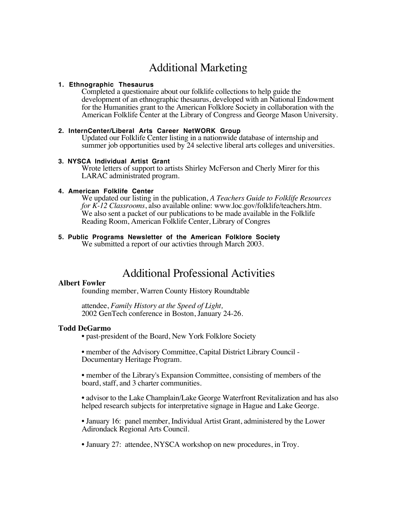# Additional Marketing

#### **1. Ethnographic Thesaurus**

Completed a questionaire about our folklife collections to help guide the development of an ethnographic thesaurus, developed with an National Endowment for the Humanities grant to the American Folklore Society in collaboration with the American Folklife Center at the Library of Congress and George Mason University.

#### **2. InternCenter/Liberal Arts Career NetWORK Group**

Updated our Folklife Center listing in a nationwide database of internship and summer job opportunities used by 24 selective liberal arts colleges and universities.

#### **3. NYSCA Individual Artist Grant**

Wrote letters of support to artists Shirley McFerson and Cherly Mirer for this LARAC administrated program.

#### **4. American Folklife Center**

We updated our listing in the publication, *A Teachers Guide to Folklife Resources for K-12 Classrooms*, also available online: www.loc.gov/folklife/teachers.htm. We also sent a packet of our publications to be made available in the Folklife Reading Room, American Folklife Center, Library of Congres

### **5. Public Programs Newsletter of the American Folklore Society**

We submitted a report of our activties through March 2003.

# Additional Professional Activities

### **Albert Fowler**

founding member, Warren County History Roundtable

attendee, *Family History at the Speed of Light,* 2002 GenTech conference in Boston, January 24-26.

#### **Todd DeGarmo**

• past-president of the Board, New York Folklore Society

• member of the Advisory Committee, Capital District Library Council - Documentary Heritage Program.

• member of the Library's Expansion Committee, consisting of members of the board, staff, and 3 charter communities.

• advisor to the Lake Champlain/Lake George Waterfront Revitalization and has also helped research subjects for interpretative signage in Hague and Lake George.

• January 16: panel member, Individual Artist Grant, administered by the Lower Adirondack Regional Arts Council.

• January 27: attendee, NYSCA workshop on new procedures, in Troy.